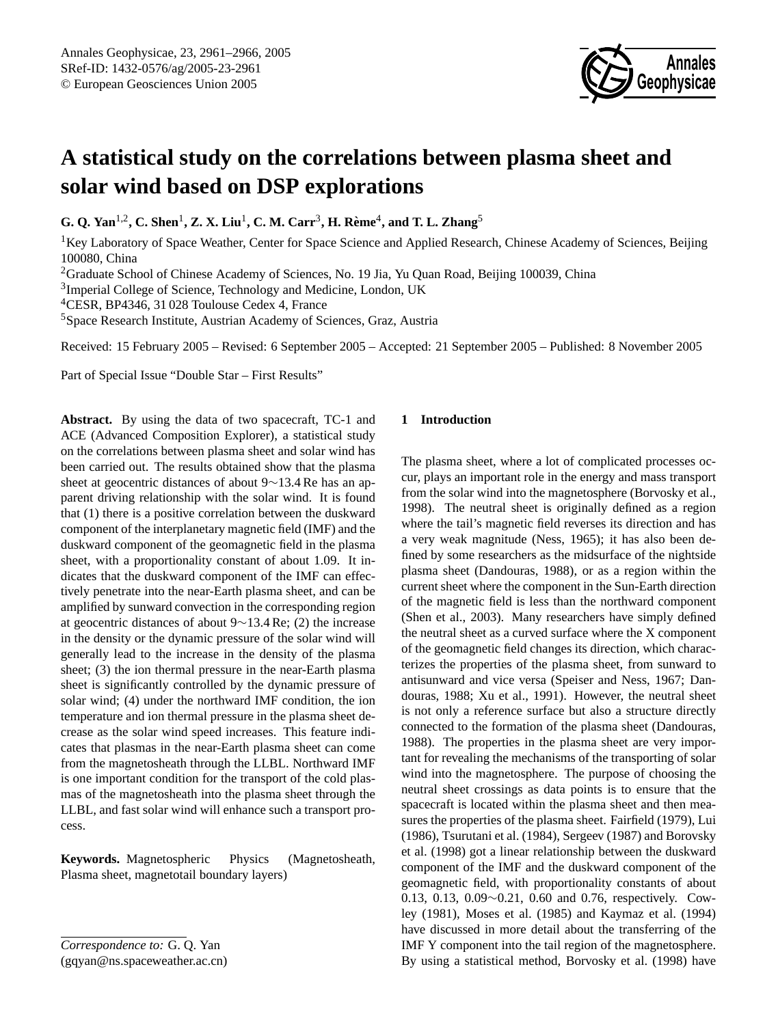

# **A statistical study on the correlations between plasma sheet and solar wind based on DSP explorations**

**G. Q. Yan**1,2**, C. Shen**<sup>1</sup> **, Z. X. Liu**<sup>1</sup> **, C. M. Carr**<sup>3</sup> **, H. Reme `** 4 **, and T. L. Zhang**<sup>5</sup>

 ${}^{1}$ Key Laboratory of Space Weather, Center for Space Science and Applied Research, Chinese Academy of Sciences, Beijing 100080, China

<sup>2</sup>Graduate School of Chinese Academy of Sciences, No. 19 Jia, Yu Quan Road, Beijing 100039, China

<sup>3</sup>Imperial College of Science, Technology and Medicine, London, UK

<sup>4</sup>CESR, BP4346, 31 028 Toulouse Cedex 4, France

<sup>5</sup>Space Research Institute, Austrian Academy of Sciences, Graz, Austria

Received: 15 February 2005 – Revised: 6 September 2005 – Accepted: 21 September 2005 – Published: 8 November 2005

Part of Special Issue "Double Star – First Results"

**Abstract.** By using the data of two spacecraft, TC-1 and ACE (Advanced Composition Explorer), a statistical study on the correlations between plasma sheet and solar wind has been carried out. The results obtained show that the plasma sheet at geocentric distances of about 9∼13.4 Re has an apparent driving relationship with the solar wind. It is found that (1) there is a positive correlation between the duskward component of the interplanetary magnetic field (IMF) and the duskward component of the geomagnetic field in the plasma sheet, with a proportionality constant of about 1.09. It indicates that the duskward component of the IMF can effectively penetrate into the near-Earth plasma sheet, and can be amplified by sunward convection in the corresponding region at geocentric distances of about 9∼13.4 Re; (2) the increase in the density or the dynamic pressure of the solar wind will generally lead to the increase in the density of the plasma sheet; (3) the ion thermal pressure in the near-Earth plasma sheet is significantly controlled by the dynamic pressure of solar wind; (4) under the northward IMF condition, the ion temperature and ion thermal pressure in the plasma sheet decrease as the solar wind speed increases. This feature indicates that plasmas in the near-Earth plasma sheet can come from the magnetosheath through the LLBL. Northward IMF is one important condition for the transport of the cold plasmas of the magnetosheath into the plasma sheet through the LLBL, and fast solar wind will enhance such a transport process.

**Keywords.** Magnetospheric Physics (Magnetosheath, Plasma sheet, magnetotail boundary layers)

<span id="page-0-0"></span>(gqyan@ns.spaceweather.ac.cn)

## **1 Introduction**

The plasma sheet, where a lot of complicated processes occur, plays an important role in the energy and mass transport from the solar wind into the magnetosphere (Borvosky et al., 1998). The neutral sheet is originally defined as a region where the tail's magnetic field reverses its direction and has a very weak magnitude (Ness, 1965); it has also been defined by some researchers as the midsurface of the nightside plasma sheet (Dandouras, 1988), or as a region within the current sheet where the component in the Sun-Earth direction of the magnetic field is less than the northward component (Shen et al., 2003). Many researchers have simply defined the neutral sheet as a curved surface where the X component of the geomagnetic field changes its direction, which characterizes the properties of the plasma sheet, from sunward to antisunward and vice versa (Speiser and Ness, 1967; Dandouras, 1988; Xu et al., 1991). However, the neutral sheet is not only a reference surface but also a structure directly connected to the formation of the plasma sheet (Dandouras, 1988). The properties in the plasma sheet are very important for revealing the mechanisms of the transporting of solar wind into the magnetosphere. The purpose of choosing the neutral sheet crossings as data points is to ensure that the spacecraft is located within the plasma sheet and then measures the properties of the plasma sheet. Fairfield (1979), Lui (1986), Tsurutani et al. (1984), Sergeev (1987) and Borovsky et al. (1998) got a linear relationship between the duskward component of the IMF and the duskward component of the geomagnetic field, with proportionality constants of about 0.13, 0.13, 0.09∼0.21, 0.60 and 0.76, respectively. Cowley (1981), Moses et al. (1985) and Kaymaz et al. (1994) have discussed in more detail about the transferring of the IMF Y component into the tail region of the magnetosphere. By using a statistical method, Borvosky et al. (1998) have

*Correspondence to:* G. Q. Yan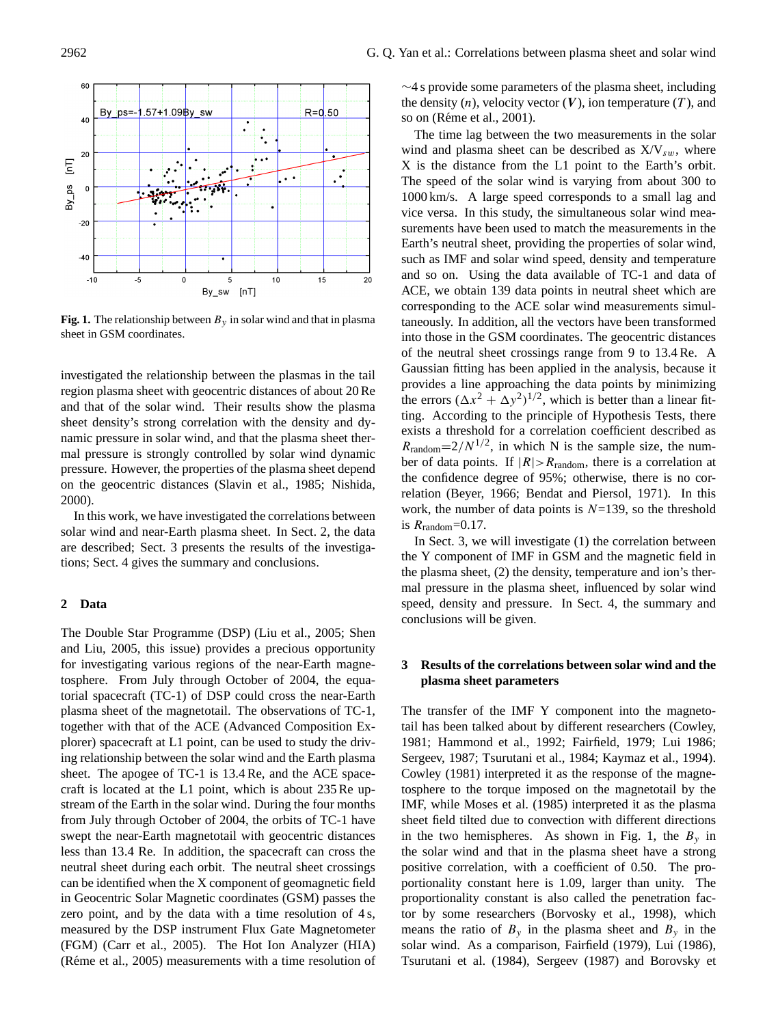

**Fig. 1.** The relationship between  $B<sub>y</sub>$  in solar wind and that in plasma sheet in GSM coordinates.

investigated the relationship between the plasmas in the tail region plasma sheet with geocentric distances of about 20 Re and that of the solar wind. Their results show the plasma sheet density's strong correlation with the density and dynamic pressure in solar wind, and that the plasma sheet thermal pressure is strongly controlled by solar wind dynamic pressure. However, the properties of the plasma sheet depend on the geocentric distances (Slavin et al., 1985; Nishida, 2000).

In this work, we have investigated the correlations between solar wind and near-Earth plasma sheet. In Sect. 2, the data are described; Sect. 3 presents the results of the investigations; Sect. 4 gives the summary and conclusions.

## **2 Data**

The Double Star Programme (DSP) (Liu et al., 2005; Shen and Liu, 2005, this issue) provides a precious opportunity for investigating various regions of the near-Earth magnetosphere. From July through October of 2004, the equatorial spacecraft (TC-1) of DSP could cross the near-Earth plasma sheet of the magnetotail. The observations of TC-1, together with that of the ACE (Advanced Composition Explorer) spacecraft at L1 point, can be used to study the driving relationship between the solar wind and the Earth plasma sheet. The apogee of TC-1 is 13.4 Re, and the ACE spacecraft is located at the L1 point, which is about 235 Re upstream of the Earth in the solar wind. During the four months from July through October of 2004, the orbits of TC-1 have swept the near-Earth magnetotail with geocentric distances less than 13.4 Re. In addition, the spacecraft can cross the neutral sheet during each orbit. The neutral sheet crossings can be identified when the X component of geomagnetic field in Geocentric Solar Magnetic coordinates (GSM) passes the zero point, and by the data with a time resolution of 4 s, measured by the DSP instrument Flux Gate Magnetometer (FGM) (Carr et al., 2005). The Hot Ion Analyzer (HIA) (Réme et al.,  $2005$ ) measurements with a time resolution of ∼4 s provide some parameters of the plasma sheet, including the density  $(n)$ , velocity vector  $(V)$ , ion temperature  $(T)$ , and so on (Réme et al., 2001).

The time lag between the two measurements in the solar wind and plasma sheet can be described as  $X/V_{sw}$ , where X is the distance from the L1 point to the Earth's orbit. The speed of the solar wind is varying from about 300 to 1000 km/s. A large speed corresponds to a small lag and vice versa. In this study, the simultaneous solar wind measurements have been used to match the measurements in the Earth's neutral sheet, providing the properties of solar wind, such as IMF and solar wind speed, density and temperature and so on. Using the data available of TC-1 and data of ACE, we obtain 139 data points in neutral sheet which are corresponding to the ACE solar wind measurements simultaneously. In addition, all the vectors have been transformed into those in the GSM coordinates. The geocentric distances of the neutral sheet crossings range from 9 to 13.4 Re. A Gaussian fitting has been applied in the analysis, because it provides a line approaching the data points by minimizing the errors  $(\Delta x^2 + \Delta y^2)^{1/2}$ , which is better than a linear fitting. According to the principle of Hypothesis Tests, there exists a threshold for a correlation coefficient described as  $R_{\text{random}} = 2/N^{1/2}$ , in which N is the sample size, the number of data points. If  $|R| > R_{\text{random}}$ , there is a correlation at the confidence degree of 95%; otherwise, there is no correlation (Beyer, 1966; Bendat and Piersol, 1971). In this work, the number of data points is  $N=139$ , so the threshold is  $R_{\text{random}} = 0.17$ .

In Sect. 3, we will investigate (1) the correlation between the Y component of IMF in GSM and the magnetic field in the plasma sheet, (2) the density, temperature and ion's thermal pressure in the plasma sheet, influenced by solar wind speed, density and pressure. In Sect. 4, the summary and conclusions will be given.

# **3 Results of the correlations between solar wind and the plasma sheet parameters**

The transfer of the IMF Y component into the magnetotail has been talked about by different researchers (Cowley, 1981; Hammond et al., 1992; Fairfield, 1979; Lui 1986; Sergeev, 1987; Tsurutani et al., 1984; Kaymaz et al., 1994). Cowley (1981) interpreted it as the response of the magnetosphere to the torque imposed on the magnetotail by the IMF, while Moses et al. (1985) interpreted it as the plasma sheet field tilted due to convection with different directions in the two hemispheres. As shown in Fig. 1, the  $B_y$  in the solar wind and that in the plasma sheet have a strong positive correlation, with a coefficient of 0.50. The proportionality constant here is 1.09, larger than unity. The proportionality constant is also called the penetration factor by some researchers (Borvosky et al., 1998), which means the ratio of  $B_y$  in the plasma sheet and  $B_y$  in the solar wind. As a comparison, Fairfield (1979), Lui (1986), Tsurutani et al. (1984), Sergeev (1987) and Borovsky et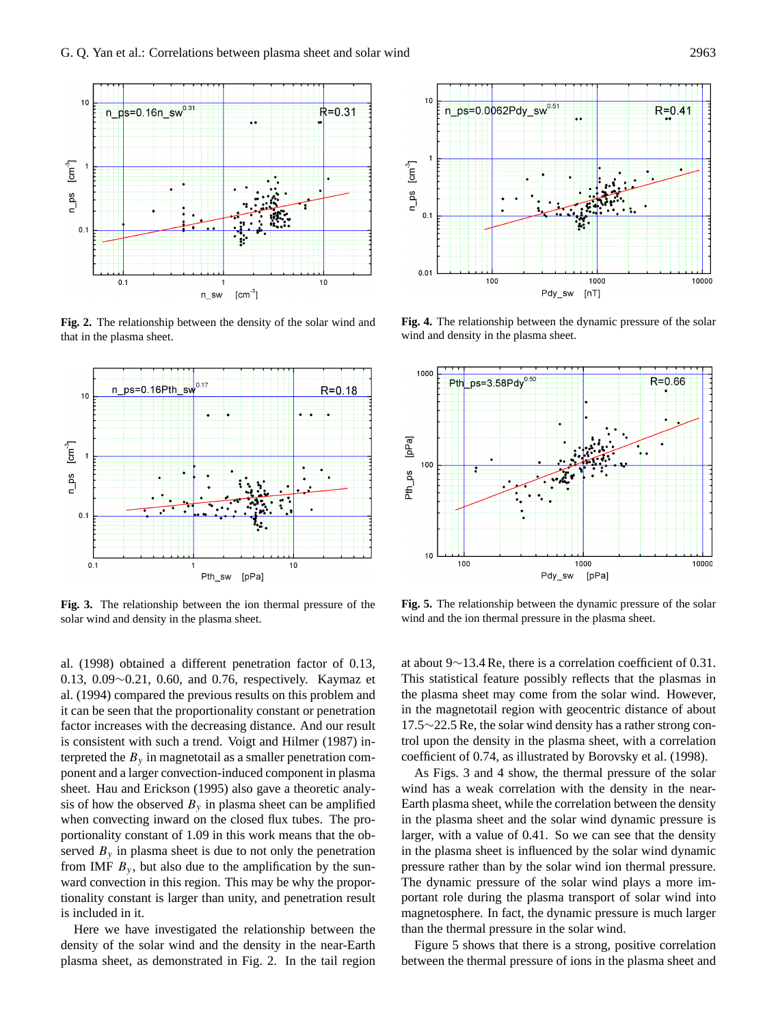

**Fig. 2.** The relationship between the density of the solar wind and that in the plasma sheet.



**Fig. 3.** The relationship between the ion thermal pressure of the solar wind and density in the plasma sheet.

al. (1998) obtained a different penetration factor of 0.13, 0.13, 0.09∼0.21, 0.60, and 0.76, respectively. Kaymaz et al. (1994) compared the previous results on this problem and it can be seen that the proportionality constant or penetration factor increases with the decreasing distance. And our result is consistent with such a trend. Voigt and Hilmer (1987) interpreted the  $B<sub>v</sub>$  in magnetotail as a smaller penetration component and a larger convection-induced component in plasma sheet. Hau and Erickson (1995) also gave a theoretic analysis of how the observed  $B<sub>v</sub>$  in plasma sheet can be amplified when convecting inward on the closed flux tubes. The proportionality constant of 1.09 in this work means that the observed  $B_y$  in plasma sheet is due to not only the penetration from IMF  $B<sub>v</sub>$ , but also due to the amplification by the sunward convection in this region. This may be why the proportionality constant is larger than unity, and penetration result is included in it.

Here we have investigated the relationship between the density of the solar wind and the density in the near-Earth plasma sheet, as demonstrated in Fig. 2. In the tail region



**Fig. 4.** The relationship between the dynamic pressure of the solar wind and density in the plasma sheet.



**Fig. 5.** The relationship between the dynamic pressure of the solar wind and the ion thermal pressure in the plasma sheet.

at about 9∼13.4 Re, there is a correlation coefficient of 0.31. This statistical feature possibly reflects that the plasmas in the plasma sheet may come from the solar wind. However, in the magnetotail region with geocentric distance of about 17.5∼22.5 Re, the solar wind density has a rather strong control upon the density in the plasma sheet, with a correlation coefficient of 0.74, as illustrated by Borovsky et al. (1998).

As Figs. 3 and 4 show, the thermal pressure of the solar wind has a weak correlation with the density in the near-Earth plasma sheet, while the correlation between the density in the plasma sheet and the solar wind dynamic pressure is larger, with a value of 0.41. So we can see that the density in the plasma sheet is influenced by the solar wind dynamic pressure rather than by the solar wind ion thermal pressure. The dynamic pressure of the solar wind plays a more important role during the plasma transport of solar wind into magnetosphere. In fact, the dynamic pressure is much larger than the thermal pressure in the solar wind.

Figure 5 shows that there is a strong, positive correlation between the thermal pressure of ions in the plasma sheet and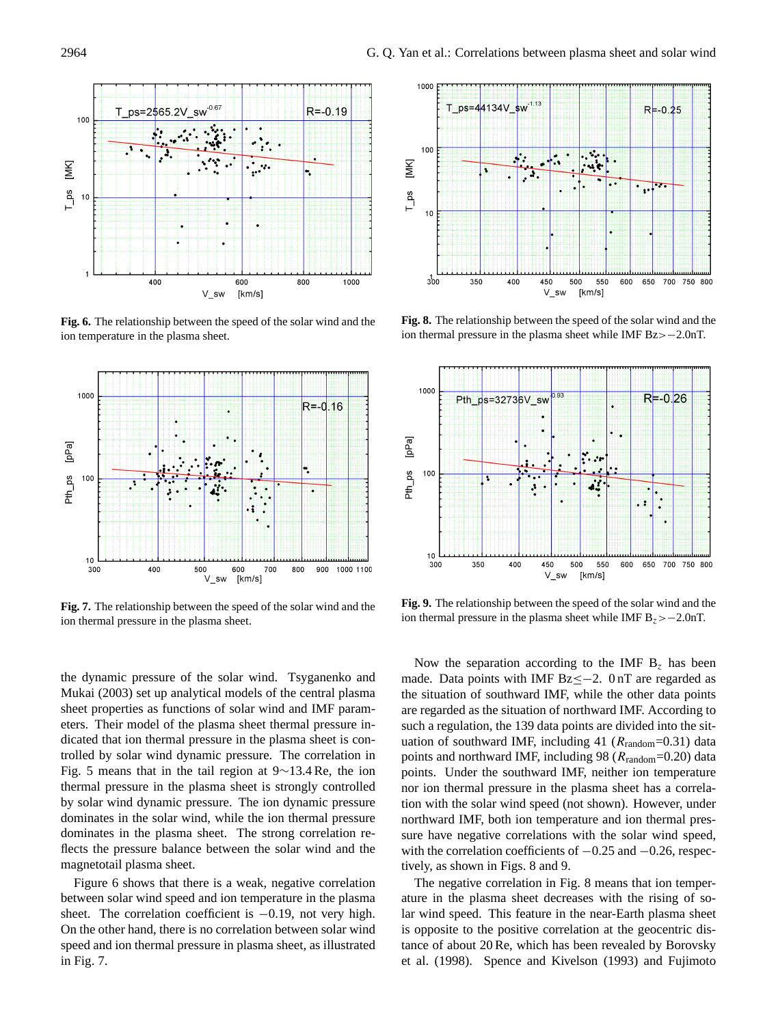

**Fig. 6.** The relationship between the speed of the solar wind and the ion temperature in the plasma sheet.



**Fig. 7.** The relationship between the speed of the solar wind and the ion thermal pressure in the plasma sheet.

the dynamic pressure of the solar wind. Tsyganenko and Mukai (2003) set up analytical models of the central plasma sheet properties as functions of solar wind and IMF parameters. Their model of the plasma sheet thermal pressure indicated that ion thermal pressure in the plasma sheet is controlled by solar wind dynamic pressure. The correlation in Fig. 5 means that in the tail region at 9∼13.4 Re, the ion thermal pressure in the plasma sheet is strongly controlled by solar wind dynamic pressure. The ion dynamic pressure dominates in the solar wind, while the ion thermal pressure dominates in the plasma sheet. The strong correlation reflects the pressure balance between the solar wind and the magnetotail plasma sheet.

Figure 6 shows that there is a weak, negative correlation between solar wind speed and ion temperature in the plasma sheet. The correlation coefficient is −0.19, not very high. On the other hand, there is no correlation between solar wind speed and ion thermal pressure in plasma sheet, as illustrated in Fig. 7.



**Fig. 8.** The relationship between the speed of the solar wind and the ion thermal pressure in the plasma sheet while IMF Bz>−2.0nT.



**Fig. 9.** The relationship between the speed of the solar wind and the ion thermal pressure in the plasma sheet while IMF  $B_z > -2.0$ nT.

Now the separation according to the IMF  $B<sub>z</sub>$  has been made. Data points with IMF Bz<−2. 0 nT are regarded as the situation of southward IMF, while the other data points are regarded as the situation of northward IMF. According to such a regulation, the 139 data points are divided into the situation of southward IMF, including 41 ( $R_{\text{random}}$ =0.31) data points and northward IMF, including 98 ( $R_{\text{random}}$ =0.20) data points. Under the southward IMF, neither ion temperature nor ion thermal pressure in the plasma sheet has a correlation with the solar wind speed (not shown). However, under northward IMF, both ion temperature and ion thermal pressure have negative correlations with the solar wind speed, with the correlation coefficients of  $-0.25$  and  $-0.26$ , respectively, as shown in Figs. 8 and 9.

The negative correlation in Fig. 8 means that ion temperature in the plasma sheet decreases with the rising of solar wind speed. This feature in the near-Earth plasma sheet is opposite to the positive correlation at the geocentric distance of about 20 Re, which has been revealed by Borovsky et al. (1998). Spence and Kivelson (1993) and Fujimoto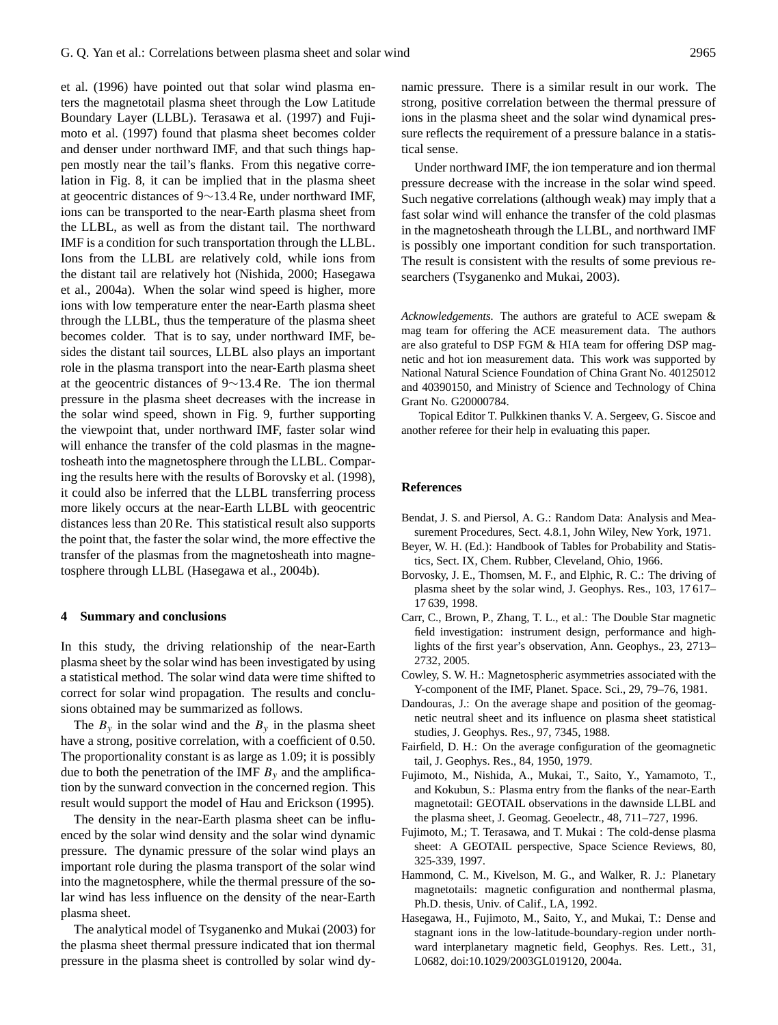et al. (1996) have pointed out that solar wind plasma enters the magnetotail plasma sheet through the Low Latitude Boundary Layer (LLBL). Terasawa et al. (1997) and Fujimoto et al. (1997) found that plasma sheet becomes colder and denser under northward IMF, and that such things happen mostly near the tail's flanks. From this negative correlation in Fig. 8, it can be implied that in the plasma sheet at geocentric distances of 9∼13.4 Re, under northward IMF, ions can be transported to the near-Earth plasma sheet from the LLBL, as well as from the distant tail. The northward IMF is a condition for such transportation through the LLBL. Ions from the LLBL are relatively cold, while ions from the distant tail are relatively hot (Nishida, 2000; Hasegawa et al., 2004a). When the solar wind speed is higher, more ions with low temperature enter the near-Earth plasma sheet through the LLBL, thus the temperature of the plasma sheet becomes colder. That is to say, under northward IMF, besides the distant tail sources, LLBL also plays an important role in the plasma transport into the near-Earth plasma sheet at the geocentric distances of 9∼13.4 Re. The ion thermal pressure in the plasma sheet decreases with the increase in the solar wind speed, shown in Fig. 9, further supporting the viewpoint that, under northward IMF, faster solar wind will enhance the transfer of the cold plasmas in the magnetosheath into the magnetosphere through the LLBL. Comparing the results here with the results of Borovsky et al. (1998), it could also be inferred that the LLBL transferring process more likely occurs at the near-Earth LLBL with geocentric distances less than 20 Re. This statistical result also supports the point that, the faster the solar wind, the more effective the transfer of the plasmas from the magnetosheath into magnetosphere through LLBL (Hasegawa et al., 2004b).

## **4 Summary and conclusions**

In this study, the driving relationship of the near-Earth plasma sheet by the solar wind has been investigated by using a statistical method. The solar wind data were time shifted to correct for solar wind propagation. The results and conclusions obtained may be summarized as follows.

The  $B_y$  in the solar wind and the  $B_y$  in the plasma sheet have a strong, positive correlation, with a coefficient of 0.50. The proportionality constant is as large as 1.09; it is possibly due to both the penetration of the IMF  $B<sub>v</sub>$  and the amplification by the sunward convection in the concerned region. This result would support the model of Hau and Erickson (1995).

The density in the near-Earth plasma sheet can be influenced by the solar wind density and the solar wind dynamic pressure. The dynamic pressure of the solar wind plays an important role during the plasma transport of the solar wind into the magnetosphere, while the thermal pressure of the solar wind has less influence on the density of the near-Earth plasma sheet.

The analytical model of Tsyganenko and Mukai (2003) for the plasma sheet thermal pressure indicated that ion thermal pressure in the plasma sheet is controlled by solar wind dynamic pressure. There is a similar result in our work. The strong, positive correlation between the thermal pressure of ions in the plasma sheet and the solar wind dynamical pressure reflects the requirement of a pressure balance in a statistical sense.

Under northward IMF, the ion temperature and ion thermal pressure decrease with the increase in the solar wind speed. Such negative correlations (although weak) may imply that a fast solar wind will enhance the transfer of the cold plasmas in the magnetosheath through the LLBL, and northward IMF is possibly one important condition for such transportation. The result is consistent with the results of some previous researchers (Tsyganenko and Mukai, 2003).

*Acknowledgements.* The authors are grateful to ACE swepam & mag team for offering the ACE measurement data. The authors are also grateful to DSP FGM & HIA team for offering DSP magnetic and hot ion measurement data. This work was supported by National Natural Science Foundation of China Grant No. 40125012 and 40390150, and Ministry of Science and Technology of China Grant No. G20000784.

Topical Editor T. Pulkkinen thanks V. A. Sergeev, G. Siscoe and another referee for their help in evaluating this paper.

### **References**

- Bendat, J. S. and Piersol, A. G.: Random Data: Analysis and Measurement Procedures, Sect. 4.8.1, John Wiley, New York, 1971.
- Beyer, W. H. (Ed.): Handbook of Tables for Probability and Statistics, Sect. IX, Chem. Rubber, Cleveland, Ohio, 1966.
- Borvosky, J. E., Thomsen, M. F., and Elphic, R. C.: The driving of plasma sheet by the solar wind, J. Geophys. Res., 103, 17 617– 17 639, 1998.
- Carr, C., Brown, P., Zhang, T. L., et al.: The Double Star magnetic field investigation: instrument design, performance and highlights of the first year's observation, Ann. Geophys., 23, 2713– 2732, 2005.
- Cowley, S. W. H.: Magnetospheric asymmetries associated with the Y-component of the IMF, Planet. Space. Sci., 29, 79–76, 1981.
- Dandouras, J.: On the average shape and position of the geomagnetic neutral sheet and its influence on plasma sheet statistical studies, J. Geophys. Res., 97, 7345, 1988.
- Fairfield, D. H.: On the average configuration of the geomagnetic tail, J. Geophys. Res., 84, 1950, 1979.
- Fujimoto, M., Nishida, A., Mukai, T., Saito, Y., Yamamoto, T., and Kokubun, S.: Plasma entry from the flanks of the near-Earth magnetotail: GEOTAIL observations in the dawnside LLBL and the plasma sheet, J. Geomag. Geoelectr., 48, 711–727, 1996.
- Fujimoto, M.; T. Terasawa, and T. Mukai : The cold-dense plasma sheet: A GEOTAIL perspective, Space Science Reviews, 80, 325-339, 1997.
- Hammond, C. M., Kivelson, M. G., and Walker, R. J.: Planetary magnetotails: magnetic configuration and nonthermal plasma, Ph.D. thesis, Univ. of Calif., LA, 1992.
- Hasegawa, H., Fujimoto, M., Saito, Y., and Mukai, T.: Dense and stagnant ions in the low-latitude-boundary-region under northward interplanetary magnetic field, Geophys. Res. Lett., 31, L0682, doi:10.1029/2003GL019120, 2004a.